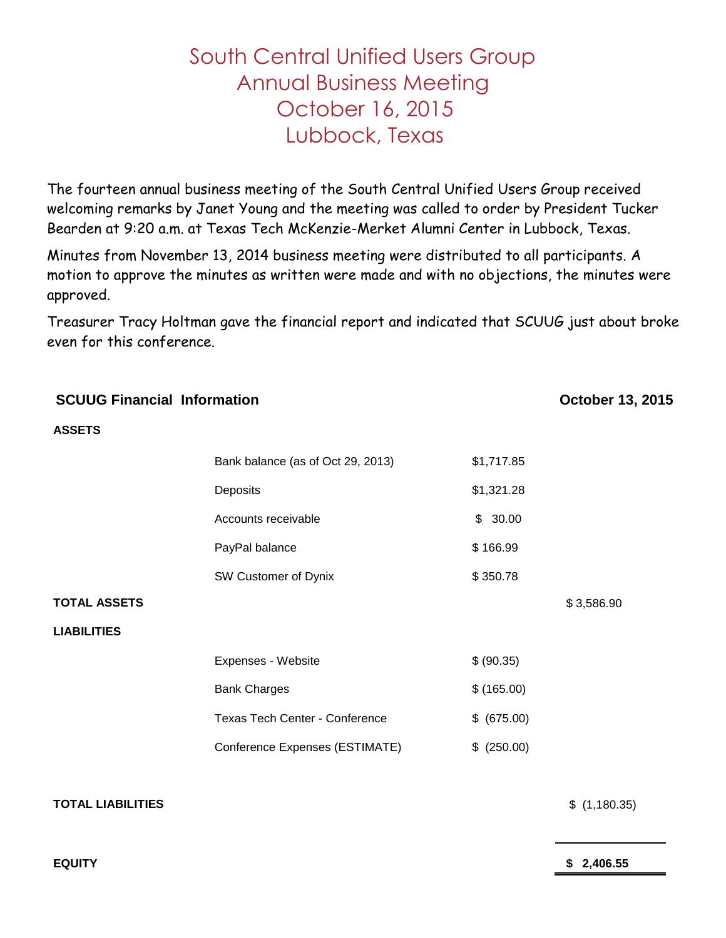## South Central Unified Users Group Annual Business Meeting October 16, 2015 Lubbock, Texas

The fourteen annual business meeting of the South Central Unified Users Group received welcoming remarks by Janet Young and the meeting was called to order by President Tucker Bearden at 9:20 a.m. at Texas Tech McKenzie-Merket Alumni Center in Lubbock, Texas.

Minutes from November 13, 2014 business meeting were distributed to all participants. A motion to approve the minutes as written were made and with no objections, the minutes were approved.

Treasurer Tracy Holtman gave the financial report and indicated that SCUUG just about broke even for this conference.

| <b>SCUUG Financial Information</b> |                                   |             | October 13, 2015 |
|------------------------------------|-----------------------------------|-------------|------------------|
| <b>ASSETS</b>                      |                                   |             |                  |
|                                    | Bank balance (as of Oct 29, 2013) | \$1,717.85  |                  |
|                                    | Deposits                          | \$1,321.28  |                  |
|                                    | Accounts receivable               | \$30.00     |                  |
|                                    | PayPal balance                    | \$166.99    |                  |
|                                    | SW Customer of Dynix              | \$350.78    |                  |
| <b>TOTAL ASSETS</b>                |                                   |             | \$3,586.90       |
| <b>LIABILITIES</b>                 |                                   |             |                  |
|                                    | Expenses - Website                | \$ (90.35)  |                  |
|                                    | <b>Bank Charges</b>               | \$(165.00)  |                  |
|                                    | Texas Tech Center - Conference    | \$ (675.00) |                  |
|                                    | Conference Expenses (ESTIMATE)    | \$ (250.00) |                  |
| <b>TOTAL LIABILITIES</b>           |                                   |             | \$(1,180.35)     |
| <b>EQUITY</b>                      |                                   |             | 2,406.55         |